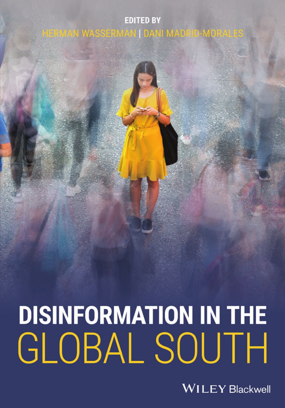# **EDITED BY** HERMAN WASSERMAN | DANI MADRID-MORALES

# **DISINFORMATION IN THE** GLOBAL SOUTH

**WILEY Blackwell**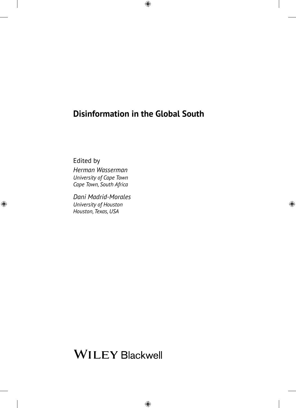# **Disinformation in the Global South**

Edited by

 *University of Cape Town Herman Wasserman Cape Town, South Africa* 

*Dani Madrid-Morales University of Houston Houston, Texas, USA* 

# **WILEY Blackwell**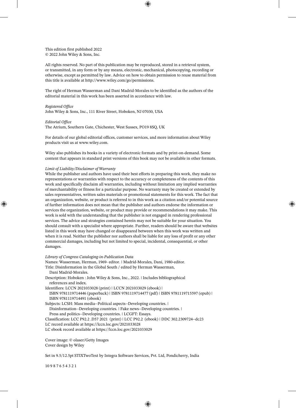This edition first published 2022 © 2022 John Wiley & Sons, Inc.

All rights reserved. No part of this publication may be reproduced, stored in a retrieval system, or transmitted, in any form or by any means, electronic, mechanical, photocopying, recording or otherwise, except as permitted by law. Advice on how to obtain permission to reuse material from this title is available at http://www.wiley.com/go/permissions.

The right of Herman Wasserman and Dani Madrid-Morales to be identified as the authors of the editorial material in this work has been asserted in accordance with law.

*Registered Office*  John Wiley & Sons, Inc., 111 River Street, Hoboken, NJ 07030, USA

*Editorial Office*  The Atrium, Southern Gate, Chichester, West Sussex, PO19 8SQ, UK

For details of our global editorial offices, customer services, and more information about Wiley products visit us at www.wiley.com.

Wiley also publishes its books in a variety of electronic formats and by print-on-demand. Some content that appears in standard print versions of this book may not be available in other formats.

#### *Limit of Liability/Disclaimer of Warranty*

While the publisher and authors have used their best efforts in preparing this work, they make no representations or warranties with respect to the accuracy or completeness of the contents of this work and specifically disclaim all warranties, including without limitation any implied warranties of merchantability or fitness for a particular purpose. No warranty may be created or extended by sales representatives, written sales materials or promotional statements for this work. The fact that an organization, website, or product is referred to in this work as a citation and/or potential source of further information does not mean that the publisher and authors endorse the information or services the organization, website, or product may provide or recommendations it may make. This work is sold with the understanding that the publisher is not engaged in rendering professional services. The advice and strategies contained herein may not be suitable for your situation. You should consult with a specialist where appropriate. Further, readers should be aware that websites listed in this work may have changed or disappeared between when this work was written and when it is read. Neither the publisher nor authors shall be liable for any loss of profit or any other commercial damages, including but not limited to special, incidental, consequential, or other damages.

*Library of Congress Cataloging-in-Publication Data* 

Names: Wasserman, Herman, 1969- editor. | Madrid-Morales, Dani, 1980-editor. Title: Disinformation in the Global South / edited by Herman Wasserman, Dani Madrid-Morales.

Description: Hoboken : John Wiley & Sons, Inc., 2022. | Includes bibliographical references and index.

Identifiers: LCCN 2021033028 (print) | LCCN 2021033029 (ebook) |

ISBN 9781119714446 (paperback) | ISBN 9781119714477 (pdf) | ISBN 9781119715597 (epub) | ISBN 9781119714491 (obook)

Subjects: LCSH: Mass media--Political aspects--Developing countries. |

Disinformation--Developing countries. | Fake news--Developing countries. |

Press and politics--Developing countries. | LCGFT: Essays.

Classification: LCC P92.2 .D57 2021 (print) | LCC P92.2 (ebook) | DDC 302.2309724--dc23

LC record available at https://lccn.loc.gov/2021033028

LC ebook record available at https://lccn.loc.gov/2021033029

Cover image: © olaser/Getty Images Cover design by Wiley

Set in 9.5/12.5pt STIXTwoText by Integra Software Services, Pvt. Ltd, Pondicherry, India

10 9 8 7 6 5 4 3 2 1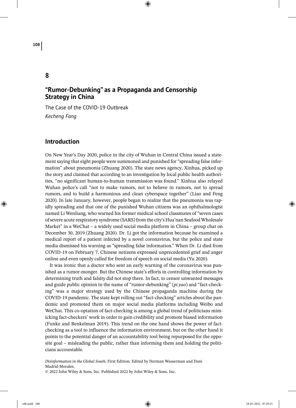# **8**

# **"Rumor-Debunking" as a Propaganda and Censorship Strategy in China**

The Case of the COVID-19 Outbreak *Kecheng Fang*

# **Introduction**

On New Year's Day 2020, police in the city of Wuhan in Central China issued a statement saying that eight people were summoned and punished for "spreading false information" about pneumonia (Zhuang 2020). The state news agency, Xinhua, picked up the story and claimed that according to an investigation by local public health authorities, "no significant human-to-human transmission was found." Xinhua also relayed Wuhan police's call "not to make rumors, not to believe in rumors, not to spread rumors, and to build a harmonious and clean cyberspace together" (Liao and Feng 2020). In late January, however, people began to realize that the pneumonia was rapidly spreading and that one of the punished Wuhan citizens was an ophthalmologist named Li Wenliang, who warned his former medical school classmates of "seven cases of severe acute respiratory syndrome (SARS) from the city's Hua'nan Seafood Wholesale Market" in a WeChat – a widely used social media platform in China – group chat on December 30, 2019 (Zhuang 2020). Dr. Li got the information because he examined a medical report of a patient infected by a novel coronavirus, but the police and state media dismissed his warning as "spreading false information." When Dr. Li died from COVID-19 on February 7, Chinese netizens expressed unprecedented grief and anger online and even openly called for freedom of speech on social media (Yu 2020).

It was ironic that a doctor who sent an early warning of the coronavirus was punished as a rumor-monger. But the Chinese state's efforts in controlling information by determining truth and falsity did not stop there. In fact, to censor unwanted messages and guide public opinion in the name of "rumor-debunking" (*pi yao*) and "fact-checking" was a major strategy used by the Chinese propaganda machine during the COVID-19 pandemic. The state kept rolling out "fact-checking" articles about the pandemic and promoted them on major social media platforms including Weibo and WeChat. This co-optation of fact-checking is among a global trend of politicians mimicking fact-checkers' work in order to gain credibility and promote biased information (Funke and Benkelman 2019). This trend on the one hand shows the power of factchecking as a tool to influence the information environment, but on the other hand it points to the potential danger of an accountability tool being repurposed for the opposite goal – misleading the public, rather than informing them and holding the politicians accountable.

*Disinformation in the Global South*, First Edition. Edited by Herman Wasserman and Dani Madrid-Morales. © 2022 John Wiley & Sons, Inc. Published 2022 by John Wiley & Sons, Inc.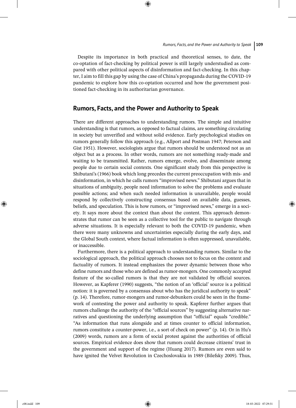Despite its importance in both practical and theoretical senses, to date, the co-optation of fact-checking by political power is still largely understudied as compared with other political aspects of disinformation and fact-checking. In this chapter, I aim to fill this gap by using the case of China's propaganda during the COVID-19 pandemic to explore how this co-optation occurred and how the government positioned fact-checking in its authoritarian governance.

## **Rumors, Facts, and the Power and Authority to Speak**

There are different approaches to understanding rumors. The simple and intuitive understanding is that rumors, as opposed to factual claims, are something circulating in society but unverified and without solid evidence. Early psychological studies on rumors generally follow this approach (e.g., Allport and Postman 1947; Peterson and Gist 1951). However, sociologists argue that rumors should be understood not as an object but as a process. In other words, rumors are not something ready-made and waiting to be transmitted. Rather, rumors emerge, evolve, and disseminate among people due to certain social contexts. One significant study from this perspective is Shibutani's (1966) book which long precedes the current preoccupation with mis- and disinformation, in which he calls rumors "improvised news." Shibutani argues that in situations of ambiguity, people need information to solve the problems and evaluate possible actions; and when such needed information is unavailable, people would respond by collectively constructing consensus based on available data, guesses, beliefs, and speculation. This is how rumors, or "improvised news," emerge in a society. It says more about the context than about the content. This approach demonstrates that rumor can be seen as a collective tool for the public to navigate through adverse situations. It is especially relevant to both the COVID-19 pandemic, when there were many unknowns and uncertainties especially during the early days, and the Global South context, where factual information is often suppressed, unavailable, or inaccessible.

Furthermore, there is a political approach to understanding rumors. Similar to the sociological approach, the political approach chooses not to focus on the content and factuality of rumors. It instead emphasizes the power dynamic between those who define rumors and those who are defined as rumor-mongers. One commonly accepted feature of the so-called rumors is that they are not validated by official sources. However, as Kapferer (1990) suggests, "the notion of an 'official' source is a political notion: it is governed by a consensus about who has the juridical authority to speak" (p. 14). Therefore, rumor-mongers and rumor-debunkers could be seen in the framework of contesting the power and authority to speak. Kapferer further argues that rumors challenge the authority of the "official sources" by suggesting alternative narratives and questioning the underlying assumption that "official" equals "credible." "As information that runs alongside and at times counter to official information, rumors constitute a counter-power, i.e., a sort of check on power" (p. 14). Or in Hu's (2009) words, rumors are a form of social protest against the authorities of official sources. Empirical evidence does show that rumors could decrease citizens' trust in the government and support of the regime (Huang 2017). Rumors are even said to have ignited the Velvet Revolution in Czechoslovakia in 1989 (Bilefsky 2009). Thus,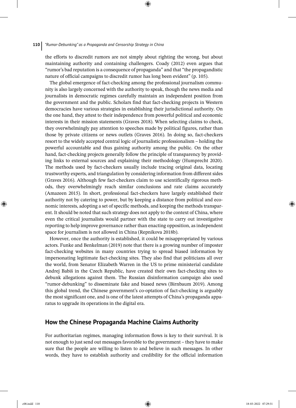the efforts to discredit rumors are not simply about righting the wrong, but about maintaining authority and containing challengers. Coady (2012) even argues that "rumor's bad reputation is a consequence of propaganda" and that "the propagandistic nature of official campaigns to discredit rumor has long been evident" (p. 105).

The global emergence of fact-checking among the professional journalism community is also largely concerned with the authority to speak, though the news media and journalists in democratic regimes carefully maintain an independent position from the government and the public. Scholars find that fact-checking projects in Western democracies have various strategies in establishing their jurisdictional authority. On the one hand, they attest to their independence from powerful political and economic interests in their mission statements (Graves 2018). When selecting claims to check, they overwhelmingly pay attention to speeches made by political figures, rather than those by private citizens or news outlets (Graves 2016). In doing so, fact-checkers resort to the widely accepted central logic of journalistic professionalism – holding the powerful accountable and thus gaining authority among the public. On the other hand, fact-checking projects generally follow the principle of transparency by providing links to external sources and explaining their methodology (Humprecht 2020). The methods used by fact-checkers usually include tracing original data, locating trustworthy experts, and triangulation by considering information from different sides (Graves 2016). Although few fact-checkers claim to use scientifically rigorous methods, they overwhelmingly reach similar conclusions and rate claims accurately (Amazeen 2015). In short, professional fact-checkers have largely established their authority not by catering to power, but by keeping a distance from political and economic interests, adopting a set of specific methods, and keeping the methods transparent. It should be noted that such strategy does not apply to the context of China, where even the critical journalists would partner with the state to carry out investigative reporting to help improve governance rather than enacting opposition, as independent space for journalism is not allowed in China (Repnikova 2018b).

However, once the authority is established, it could be misappropriated by various actors. Funke and Benkelman (2019) note that there is a growing number of imposter fact-checking websites in many countries trying to spread biased information by impersonating legitimate fact-checking sites. They also find that politicians all over the world, from Senator Elizabeth Warren in the US to prime ministerial candidate Andrej Babiš in the Czech Republic, have created their own fact-checking sites to debunk allegations against them. The Russian disinformation campaign also used "rumor-debunking" to disseminate fake and biased news (Birnbaum 2019). Among this global trend, the Chinese government's co-optation of fact-checking is arguably the most significant one, and is one of the latest attempts of China's propaganda apparatus to upgrade its operations in the digital era.

# **How the Chinese Propaganda Machine Claims Authority**

For authoritarian regimes, managing information flows is key to their survival. It is not enough to just send out messages favorable to the government – they have to make sure that the people are willing to listen to and believe in such messages. In other words, they have to establish authority and credibility for the official information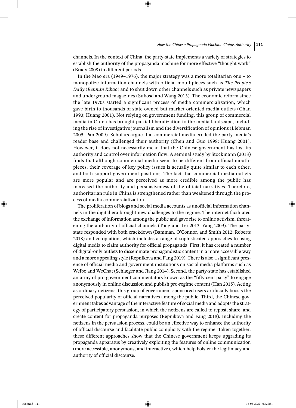channels. In the context of China, the party-state implements a variety of strategies to establish the authority of the propaganda machine for more effective "thought work" (Brady 2008) in different periods.

In the Mao era (1949–1976), the major strategy was a more totalitarian one – to monopolize information channels with official mouthpieces such as *The People's Daily* (*Renmin Ribao*) and to shut down other channels such as private newspapers and underground magazines (Sukosd and Wang 2013). The economic reform since the late 1970s started a significant process of media commercialization, which gave birth to thousands of state-owned but market-oriented media outlets (Chan 1993; Huang 2001). Not relying on government funding, this group of commercial media in China has brought partial liberalization to the media landscape, including the rise of investigative journalism and the diversification of opinions (Liebman 2005; Pan 2009). Scholars argue that commercial media eroded the party media's reader base and challenged their authority (Chen and Guo 1998; Huang 2001). However, it does not necessarily mean that the Chinese government has lost its authority and control over information flow. A seminal study by Stockmann (2013) finds that although commercial media seem to be different from official mouthpieces, their coverage of key policy issues is actually quite similar to each other, and both support government positions. The fact that commercial media outlets are more popular and are perceived as more credible among the public has increased the authority and persuasiveness of the official narratives. Therefore, authoritarian rule in China is strengthened rather than weakened through the process of media commercialization.

The proliferation of blogs and social media accounts as unofficial information channels in the digital era brought new challenges to the regime. The internet facilitated the exchange of information among the public and gave rise to online activism, threatening the authority of official channels (Tong and Lei 2013; Yang 2009). The partystate responded with both crackdown (Bamman, O'Connor, and Smith 2012; Roberts 2018) and co-optation, which includes a range of sophisticated approaches to using digital media to claim authority for official propaganda. First, it has created a number of digital-only outlets to disseminate propagandistic content in a more accessible way and a more appealing style (Repnikova and Fang 2019). There is also a significant presence of official media and government institutions on social media platforms such as Weibo and WeChat (Schlæger and Jiang 2014). Second, the party-state has established an army of pro-government commentators known as the "fifty-cent party" to engage anonymously in online discussion and publish pro-regime content (Han 2015). Acting as ordinary netizens, this group of government-sponsored users artificially boosts the perceived popularity of official narratives among the public. Third, the Chinese government takes advantage of the interactive feature of social media and adopts the strategy of participatory persuasion, in which the netizens are called to repost, share, and create content for propaganda purposes (Repnikova and Fang 2018). Including the netizens in the persuasion process, could be an effective way to enhance the authority of official discourse and facilitate public complicity with the regime. Taken together, these different approaches show that the Chinese government keeps upgrading its propaganda apparatus by creatively exploiting the features of online communication (more accessible, anonymous, and interactive), which help bolster the legitimacy and authority of official discourse.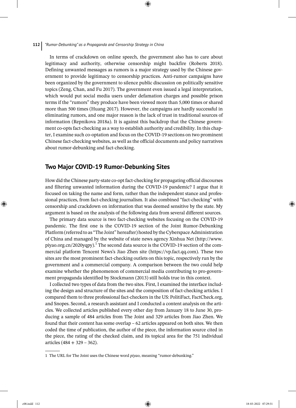#### **112** *"Rumor-Debunking" as a Propaganda and Censorship Strategy in China*

In terms of crackdown on online speech, the government also has to care about legitimacy and authority, otherwise censorship might backfire (Roberts 2018). Defining unwanted messages as rumors is a major strategy used by the Chinese government to provide legitimacy to censorship practices. Anti-rumor campaigns have been organized by the government to silence public discussion on politically sensitive topics (Zeng, Chan, and Fu 2017). The government even issued a legal interpretation, which would put social media users under defamation charges and possible prison terms if the "rumors" they produce have been viewed more than 5,000 times or shared more than 500 times (Huang 2017). However, the campaigns are hardly successful in eliminating rumors, and one major reason is the lack of trust in traditional sources of information (Repnikova 2018a). It is against this backdrop that the Chinese government co-opts fact-checking as a way to establish authority and credibility. In this chapter, I examine such co-optation and focus on the COVID-19 sections on two prominent Chinese fact-checking websites, as well as the official documents and policy narratives about rumor-debunking and fact-checking.

# **Two Major COVID-19 Rumor-Debunking Sites**

How did the Chinese party-state co-opt fact-checking for propagating official discourses and filtering unwanted information during the COVID-19 pandemic? I argue that it focused on taking the name and form, rather than the independent stance and professional practices, from fact-checking journalism. It also combined "fact-checking" with censorship and crackdown on information that was deemed sensitive by the state. My argument is based on the analysis of the following data from several different sources.

The primary data source is two fact-checking websites focusing on the COVID-19 pandemic. The first one is the COVID-19 section of the Joint Rumor-Debunking Platform (referred to as "The Joint" hereafter) hosted by the Cyberspace Administration of China and managed by the website of state news agency Xinhua Net (http://www. piyao.org.cn/2020yqpy).<sup>1</sup> The second data source is the COVID-19 section of the commercial platform Tencent News's Jiao Zhen site (https://vp.fact.qq.com). These two sites are the most prominent fact-checking outlets on this topic, respectively run by the government and a commercial company. A comparison between the two could help examine whether the phenomenon of commercial media contributing to pro-government propaganda identified by Stockmann (2013) still holds true in this context.

I collected two types of data from the two sites. First, I examined the interface including the design and structure of the sites and the composition of fact-checking articles. I compared them to three professional fact-checkers in the US: PolitiFact, FactCheck.org, and Snopes. Second, a research assistant and I conducted a content analysis on the articles. We collected articles published every other day from January 18 to June 30, producing a sample of 484 articles from The Joint and 329 articles from Jiao Zhen. We found that their content has some overlap – 62 articles appeared on both sites. We then coded the time of publication, the author of the piece, the information source cited in the piece, the rating of the checked claim, and its topical area for the 751 individual articles (484 + 329 – 362).

<sup>1</sup> The URL for The Joint uses the Chinese word *piyao*, meaning "rumor-debunking."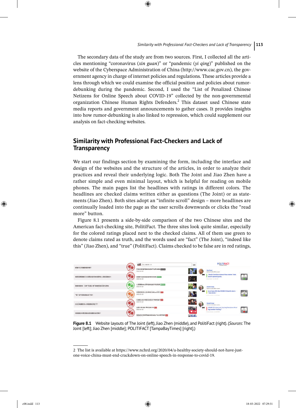The secondary data of the study are from two sources. First, I collected all the articles mentioning "coronavirus (*xin guan*)" or "pandemic (*yi qing*)" published on the website of the Cyberspace Administration of China (http://www.cac.gov.cn), the government agency in charge of internet policies and regulations. These articles provide a lens through which we could examine the official position and policies about rumordebunking during the pandemic. Second, I used the "List of Penalized Chinese Netizens for Online Speech about COVID-19" collected by the non-governmental organization Chinese Human Rights Defenders.<sup>2</sup> This dataset used Chinese state media reports and government announcements to gather cases. It provides insights into how rumor-debunking is also linked to repression, which could supplement our analysis on fact-checking websites.

# **Similarity with Professional Fact-Checkers and Lack of Transparency**

We start our findings section by examining the form, including the interface and design of the websites and the structure of the articles, in order to analyze their practices and reveal their underlying logic. Both The Joint and Jiao Zhen have a rather simple and even minimal layout, which is helpful for reading on mobile phones. The main pages list the headlines with ratings in different colors. The headlines are checked claims written either as questions (The Joint) or as statements (Jiao Zhen). Both sites adopt an "infinite scroll" design – more headlines are continually loaded into the page as the user scrolls downwards or clicks the "read more" button.

Figure 8.1 presents a side-by-side comparison of the two Chinese sites and the American fact-checking site, PolitiFact. The three sites look quite similar, especially for the colored ratings placed next to the checked claims. All of them use green to denote claims rated as truth, and the words used are "fact" (The Joint), "indeed like this" (Jiao Zhen), and "true" (PolitiFact). Claims checked to be false are in red ratings,

| And Frederick Editor Mark                                                                                                                                                                                                                                                                                           | 投資 HARRIST-T<br>有其                                              |                                     | <b>POLITIFACT</b><br>The Printer Institute                                                        |                                                                                                                                                                                                                                                                                                                                                                                                                |
|---------------------------------------------------------------------------------------------------------------------------------------------------------------------------------------------------------------------------------------------------------------------------------------------------------------------|-----------------------------------------------------------------|-------------------------------------|---------------------------------------------------------------------------------------------------|----------------------------------------------------------------------------------------------------------------------------------------------------------------------------------------------------------------------------------------------------------------------------------------------------------------------------------------------------------------------------------------------------------------|
| 经解用以传播新建树脂?<br>W Rillian American                                                                                                                                                                                                                                                                                   | 日有抵伸的新疆兼成地盘都不会再次编码 同等関数<br>2020-04-00                           |                                     | <b>BurFarunt</b><br>March an Law 22, 2000 to a speed                                              |                                                                                                                                                                                                                                                                                                                                                                                                                |
| 南昌民德語號江之星區店发现有低多斯人張斯园牌炎?                                                                                                                                                                                                                                                                                            | 福物省市私坂島市法部製技状病毒 [18377]<br>3020-04-28                           | $^{\bullet}$                        | "North Corolina is one of four states" that<br>hasn't corned gyms.<br>Bullis County race Of 1991. | $\equiv$                                                                                                                                                                                                                                                                                                                                                                                                       |
| And the basic multiple completed by the contract their<br>国家班政局:北京"快速小野"模糊检测全部为帮性<br>the state of the state of the state of the state of the state of the state of the state of the state of the state of the state of the state of the state of the state of the state of the state of the state of the state of t | <b>儿童阅知NG口喜可能会自成不可逆告答【国国】</b><br>30200000                       |                                     | <b>Gonskil Trungs</b><br>dated as Lot 23, 232(to a bond)                                          |                                                                                                                                                                                                                                                                                                                                                                                                                |
| "第二波"疫情病的来了吗?                                                                                                                                                                                                                                                                                                       | 高速新聞這是人体试验先行者Bag已死亡 ED<br>2020-04-28                            | $\bullet$                           | As of June 23, the COVID-19 death rate is<br>"way down."<br>this process second countries seems   | <b>ANGELES</b><br>$\frac{1}{2} \frac{1}{2} \frac{1}{2} \frac{1}{2} \frac{1}{2} \frac{1}{2} \frac{1}{2} \frac{1}{2} \frac{1}{2} \frac{1}{2} \frac{1}{2} \frac{1}{2} \frac{1}{2} \frac{1}{2} \frac{1}{2} \frac{1}{2} \frac{1}{2} \frac{1}{2} \frac{1}{2} \frac{1}{2} \frac{1}{2} \frac{1}{2} \frac{1}{2} \frac{1}{2} \frac{1}{2} \frac{1}{2} \frac{1}{2} \frac{1}{2} \frac{1}{2} \frac{1}{2} \frac{1}{2} \frac{$ |
| 123223000000000000000000<br>2020年期限中小学要用时间定了?<br>the state of the control of the control of the control of the control of the control of the control of the control of the control of the control of the control of the control of the control of the control of the control of                                     | 王善规士表示仲国已况是实行"商休怎定"。<br>3050-04-28<br>a na tsanada a tsa na tsa | s                                   | <b>Directo Trains</b><br>three at the CL 2021er a beet-                                           |                                                                                                                                                                                                                                                                                                                                                                                                                |
| 市民路过中南风险地区健康码合变色?                                                                                                                                                                                                                                                                                                   | 全部の地中相は単位的状状の<br>3020-04-26 10:00:00 10:00:00                   | $T_{\rm{2D}}$ $\approx$<br><br>4.98 | COVID-19 cases are "up only because ef our<br>big number testing."<br>Kansas Jaimee - goods 2019  | <b>THE</b>                                                                                                                                                                                                                                                                                                                                                                                                     |
|                                                                                                                                                                                                                                                                                                                     | 当然は対外資産可能を実施企业ナ法に使行物質を定<br>drawing this state                   | 23261                               |                                                                                                   |                                                                                                                                                                                                                                                                                                                                                                                                                |

**Figure 8.1** Website layouts of The Joint (left), Jiao Zhen (middle), and PolitiFact (right). (*Sources*: The Joint [left]; Jiao Zhen [middle]; POLITIFACT [TampaBayTimes] [right].)

<sup>2</sup> The list is available at https://www.nchrd.org/2020/04/a-healthy-society-should-not-have-justone-voice-china-must-end-crackdown-on-online-speech-in-response-to-covid-19.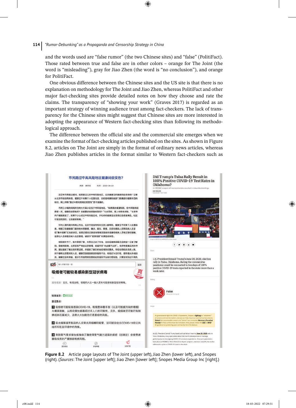and the words used are "false rumor" (the two Chinese sites) and "false" (PolitiFact). Those rated between true and false are in other colors – orange for The Joint (the word is "misleading"), gray for Jiao Zhen (the word is "no conclusion"), and orange for PolitiFact.

One obvious difference between the Chinese sites and the US site is that there is no explanation on methodology for The Joint and Jiao Zhen, whereas PolitiFact and other major fact-checking sites provide detailed notes on how they choose and rate the claims. The transparency of "showing your work" (Graves 2017) is regarded as an important strategy of winning audience trust among fact-checkers. The lack of transparency for the Chinese sites might suggest that Chinese sites are more interested in adopting the appearance of Western fact-checking sites than following its methodological approach.

The difference between the official site and the commercial site emerges when we examine the format of fact-checking articles published on the sites. As shown in Figure 8.2, articles on The Joint are simply in the format of ordinary news articles, whereas Jiao Zhen publishes articles in the format similar to Western fact-checkers such as



**Figure 8.2** Article page layouts of The Joint (upper left), Jiao Zhen (lower left), and Snopes (right). (*Sources*: The Joint [upper left]; Jiao Zhen [lower left]; Snopes Media Group Inc [right].)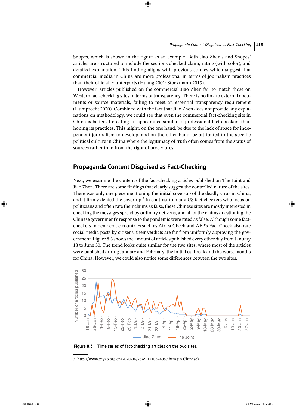Snopes, which is shown in the figure as an example. Both Jiao Zhen's and Snopes' articles are structured to include the sections checked claim, rating (with color), and detailed explanation. This finding aligns with previous studies which suggest that commercial media in China are more professional in terms of journalism practices than their official counterparts (Huang 2001; Stockmann 2013).

However, articles published on the commercial Jiao Zhen fail to match those on Western fact-checking sites in terms of transparency. There is no link to external documents or source materials, failing to meet an essential transparency requirement (Humprecht 2020). Combined with the fact that Jiao Zhen does not provide any explanations on methodology, we could see that even the commercial fact-checking site in China is better at creating an appearance similar to professional fact-checkers than honing its practices. This might, on the one hand, be due to the lack of space for independent journalism to develop, and on the other hand, be attributed to the specific political culture in China where the legitimacy of truth often comes from the status of sources rather than from the rigor of procedures.

# **Propaganda Content Disguised as Fact-Checking**

Next, we examine the content of the fact-checking articles published on The Joint and Jiao Zhen. There are some findings that clearly suggest the controlled nature of the sites. There was only one piece mentioning the initial cover-up of the deadly virus in China, and it firmly denied the cover-up.<sup>3</sup> In contrast to many US fact-checkers who focus on politicians and often rate their claims as false, these Chinese sites are mostly interested in checking the messages spread by ordinary netizens, and all of the claims questioning the Chinese government's response to the pandemic were rated as false. Although some factcheckers in democratic countries such as Africa Check and AFP's Fact Check also rate social media posts by citizens, their verdicts are far from uniformly approving the government. Figure 8.3 shows the amount of articles published every other day from January 18 to June 30. The trend looks quite similar for the two sites, where most of the articles were published during January and February, the initial outbreak and the worst months for China. However, we could also notice some differences between the two sites.



**Figure 8.3** Time series of fact-checking articles on the two sites.

<sup>3</sup> http://www.piyao.org.cn/2020-04/28/c\_1210594087.htm (in Chinese).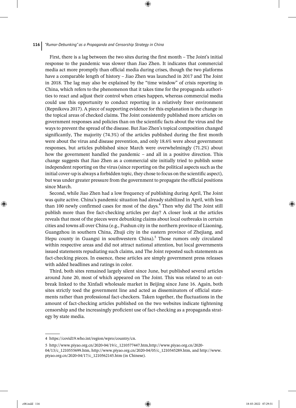#### **116** *"Rumor-Debunking" as a Propaganda and Censorship Strategy in China*

First, there is a lag between the two sites during the first month – The Joint's initial response to the pandemic was slower than Jiao Zhen. It indicates that commercial media act more promptly than official media during crises, though the two platforms have a comparable length of history – Jiao Zhen was launched in 2017 and The Joint in 2018. The lag may also be explained by the "time window" of crisis reporting in China, which refers to the phenomenon that it takes time for the propaganda authorities to react and adjust their control when crises happen, whereas commercial media could use this opportunity to conduct reporting in a relatively freer environment (Repnikova 2017). A piece of supporting evidence for this explanation is the change in the topical areas of checked claims. The Joint consistently published more articles on government responses and policies than on the scientific facts about the virus and the ways to prevent the spread of the disease. But Jiao Zhen's topical composition changed significantly, The majority (74.3%) of the articles published during the first month were about the virus and disease prevention, and only 18.6% were about government responses, but articles published since March were overwhelmingly (71.2%) about how the government handled the pandemic – and all in a positive direction. This change suggests that Jiao Zhen as a commercial site initially tried to publish some independent reporting on the virus (since reporting on the political aspects such as the initial cover-up is always a forbidden topic, they chose to focus on the scientific aspect), but was under greater pressure from the government to propagate the official positions since March.

Second, while Jiao Zhen had a low frequency of publishing during April, The Joint was quite active. China's pandemic situation had already stabilized in April, with less than 100 newly confirmed cases for most of the days.<sup>4</sup> Then why did The Joint still publish more than five fact-checking articles per day? A closer look at the articles reveals that most of the pieces were debunking claims about local outbreaks in certain cities and towns all over China (e.g., Fushun city in the northern province of Liaoning, Guangzhou in southern China, Zhuji city in the eastern province of Zhejiang, and Hepu county in Guangxi in southwestern China).<sup>5</sup> Those rumors only circulated within respective areas and did not attract national attention, but local governments issued statements repudiating such claims, and The Joint reposted such statements as fact-checking pieces. In essence, these articles are simply government press releases with added headlines and ratings in color.

Third, both sites remained largely silent since June, but published several articles around June 20, most of which appeared on The Joint. This was related to an outbreak linked to the Xinfadi wholesale market in Beijing since June 16. Again, both sites strictly toed the government line and acted as disseminators of official statements rather than professional fact-checkers. Taken together, the fluctuations in the amount of fact-checking articles published on the two websites indicate tightening censorship and the increasingly proficient use of fact-checking as a propaganda strategy by state media.

<sup>4</sup> https://covid19.who.int/region/wpro/country/cn.

<sup>5</sup> http://www.piyao.org.cn/2020-04/19/c\_1210577447.htm,http://www.piyao.org.cn/2020- 04/13/c\_1210555699.htm, http://www.piyao.org.cn/2020-04/05/c\_1210545289.htm, and http://www. piyao.org.cn/2020-04/17/c\_1210562145.htm (in Chinese).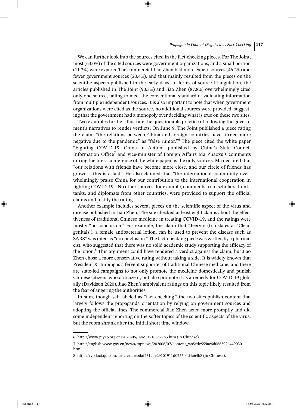We can further look into the sources cited in the fact-checking pieces. For The Joint, most (63.0%) of the cited sources were government organizations, and a small portion (11.2%) were experts. The commercial Jiao Zhen had more expert sources (46.2%) and fewer government sources (20.4%), and that mainly resulted from the pieces on the scientific aspects published in the early days. In terms of source triangulation, the articles published in The Joint (90.3%) and Jiao Zhen (87.8%) overwhelmingly cited only one source, failing to meet the conventional standard of validating information from multiple independent sources. It is also important to note that when government organizations were cited as the source, no additional sources were provided, suggesting that the government had a monopoly over deciding what is true on these two sites.

Two examples further illustrate the questionable practice of following the government's narratives to render verdicts. On June 9, The Joint published a piece rating the claim "the relations between China and foreign countries have turned more negative due to the pandemic" as "false rumor."<sup>6</sup> The piece cited the white paper "Fighting COVID-19: China in Action" published by China's State Council Information Office<sup>7</sup> and vice-minister of Foreign Affairs Ma Zhaoxu's comments during the press conference of the white paper as the only sources. Ma declared that "our relations with friends have become more close, and our circle of friends has grown – this is a fact." He also claimed that "the international community overwhelmingly praise China for our contribution to the international cooperation in fighting COVID-19." No other sources, for example, comments from scholars, thinktanks, and diplomats from other countries, were provided to support the official claims and justify the rating.

Another example includes several pieces on the scientific aspect of the virus and disease published in Jiao Zhen. The site checked at least eight claims about the effectiveness of traditional Chinese medicine in treating COVID-19, and the ratings were mostly "no conclusion." For example, the claim that "Jeeryin (translates as 'Clean genitals'), a female antibacterial lotion, can be used to prevent the disease such as SARS" was rated as "no conclusion." The fact-checking piece was written by a pharmacist, who suggested that there was no solid academic study supporting the efficacy of the lotion.<sup>8</sup> This argument could have rendered a verdict against the claim, but Jiao Zhen chose a more conservative rating without taking a side. It is widely known that President Xi Jinping is a fervent supporter of traditional Chinese medicine, and there are state-led campaigns to not only promote the medicine domestically and punish Chinese citizens who criticize it, but also promote it as a remedy for COVID-19 globally (Davidson 2020). Jiao Zhen's ambivalent ratings on this topic likely resulted from the fear of angering the authorities.

In sum, though self-labeled as "fact-checking," the two sites publish content that largely follows the propaganda orientation by relying on government sources and adopting the official lines. The commercial Jiao Zhen acted more promptly and did some independent reporting on the softer topics of the scientific aspects of the virus, but the room shrank after the initial short time window.

<sup>6</sup> http://www.piyao.org.cn/2020-06/09/c\_1210652783.htm (in Chinese).

<sup>7</sup> http://english.www.gov.cn/news/topnews/202006/07/content\_ws5edc559ac6d066592a449030. html.

<sup>8</sup> https://vp.fact.qq.com/article?id=bdaf431cde29101911d075504d4a64b8 (in Chinese).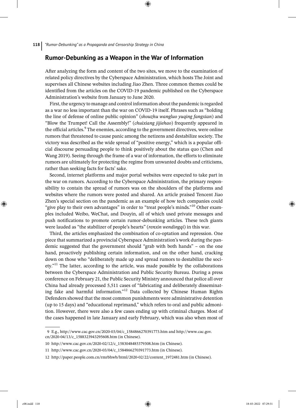## **Rumor-Debunking as a Weapon in the War of Information**

After analyzing the form and content of the two sites, we move to the examination of related policy directives by the Cyberspace Administration, which hosts The Joint and supervises all Chinese websites including Jiao Zhen. Three common themes could be identified from the articles on the COVID-19 pandemic published on the Cyberspace Administration's website from January to June 2020.

First, the urgency to manage and control information about the pandemic is regarded as a war no less important than the war on COVID-19 itself. Phrases such as "holding the line of defense of online public opinion" (*shouzhu wangluo yuqing fangxian*) and "Blow the Trumpet! Call the Assembly!" (*chuixiang jijiehao*) frequently appeared in the official articles.<sup>9</sup> The enemies, according to the government directives, were online rumors that threatened to cause panic among the netizens and destabilize society. The victory was described as the wide spread of "positive energy," which is a popular official discourse persuading people to think positively about the status quo (Chen and Wang 2019). Seeing through the frame of a war of information, the efforts to eliminate rumors are ultimately for protecting the regime from unwanted doubts and criticisms, rather than seeking facts for facts' sake.

Second, internet platforms and major portal websites were expected to take part in the war on rumors. According to the Cyberspace Administration, the primary responsibility to contain the spread of rumors was on the shoulders of the platforms and websites where the rumors were posted and shared. An article praised Tencent Jiao Zhen's special section on the pandemic as an example of how tech companies could "give play to their own advantages" in order to "treat people's minds."<sup>10</sup> Other examples included Weibo, WeChat, and Douyin, all of which used private messages and push notifications to promote certain rumor-debunking articles. These tech giants were lauded as "the stabilizer of people's hearts" (*renxin wendingqi*) in this war.

Third, the articles emphasized the combination of co-optation and repression. One piece that summarized a provincial Cyberspace Administration's work during the pandemic suggested that the government should "grab with both hands" – on the one hand, proactively publishing certain information, and on the other hand, cracking down on those who "deliberately made up and spread rumors to destabilize the society."<sup>11</sup> The latter, according to the article, was made possible by the collaborations between the Cyberspace Administration and Public Security Bureau. During a press conference on February 21, the Public Security Ministry announced that police all over China had already processed 5,511 cases of "fabricating and deliberately disseminating fake and harmful information."<sup>12</sup> Data collected by Chinese Human Rights Defenders showed that the most common punishments were administrative detention (up to 15 days) and "educational reprimand," which refers to oral and public admonition. However, there were also a few cases ending up with criminal charges. Most of the cases happened in late January and early February, which was also when most of

<sup>9</sup> E.g., http://www.cac.gov.cn/2020-03/04/c\_1584866270391773.htm and http://www.cac.gov. cn/2020-04/13/c\_1588323943295608.htm (in Chinese).

<sup>10</sup> http://www.cac.gov.cn/2020-02/12/c\_1583048485379308.htm (in Chinese).

<sup>11</sup> http://www.cac.gov.cn/2020-03/04/c\_1584866270391773.htm (in Chinese).

<sup>12</sup> http://paper.people.com.cn/rmrbhwb/html/2020-02/22/content\_1972481.htm (in Chinese).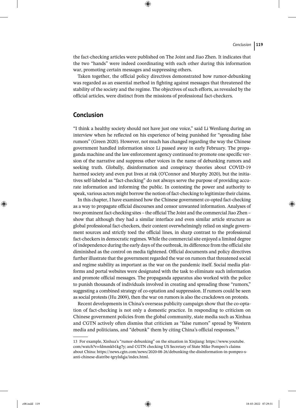the fact-checking articles were published on The Joint and Jiao Zhen. It indicates that the two "hands" were indeed coordinating with each other during this information war, promoting certain messages and suppressing others.

Taken together, the official policy directives demonstrated how rumor-debunking was regarded as an essential method in fighting against messages that threatened the stability of the society and the regime. The objectives of such efforts, as revealed by the official articles, were distinct from the missions of professional fact-checkers.

# **Conclusion**

"I think a healthy society should not have just one voice," said Li Wenliang during an interview when he reflected on his experience of being punished for "spreading false rumors" (Green 2020). However, not much has changed regarding the way the Chinese government handled information since Li passed away in early February. The propaganda machine and the law enforcement agency continued to promote one specific version of the narrative and suppress other voices in the name of debunking rumors and seeking truth. Globally, disinformation and conspiracy theories about COVID-19 harmed society and even put lives at risk (O'Connor and Murphy 2020), but the initiatives self-labeled as "fact-checking" do not always serve the purpose of providing accurate information and informing the public. In contesting the power and authority to speak, various actors might borrow the notion of fact-checking to legitimize their claims.

In this chapter, I have examined how the Chinese government co-opted fact-checking as a way to propagate official discourses and censor unwanted information. Analyses of two prominent fact-checking sites – the official The Joint and the commercial Jiao Zhen – show that although they had a similar interface and even similar article structure as global professional fact-checkers, their content overwhelmingly relied on single government sources and strictly toed the official lines, in sharp contrast to the professional fact-checkers in democratic regimes. While the commercial site enjoyed a limited degree of independence during the early days of the outbreak, its difference from the official site diminished as the control on media tightened. Official documents and policy directives further illustrate that the government regarded the war on rumors that threatened social and regime stability as important as the war on the pandemic itself. Social media platforms and portal websites were designated with the task to eliminate such information and promote official messages. The propaganda apparatus also worked with the police to punish thousands of individuals involved in creating and spreading those "rumors," suggesting a combined strategy of co-optation and suppression. If rumors could be seen as social protests (Hu 2009), then the war on rumors is also the crackdown on protests.

Recent developments in China's overseas publicity campaign show that the co-optation of fact-checking is not only a domestic practice. In responding to criticism on Chinese government policies from the global community, state media such as Xinhua and CGTN actively often dismiss that criticism as "false rumors" spread by Western media and politicians, and "debunk" them by citing China's official responses.<sup>13</sup>

<sup>13</sup> For example, Xinhua's "rumor-debunking" on the situation in Xinjiang: https://www.youtube. com/watch?v=fdmmkb1kg7y; and CGTN checking US Secretary of State Mike Pompeo's claims about China: https://news.cgtn.com/news/2020-08-26/debunking-the-disinformation-in-pompeo-santi-chinese-diatribe-tgrylsfqja/index.html.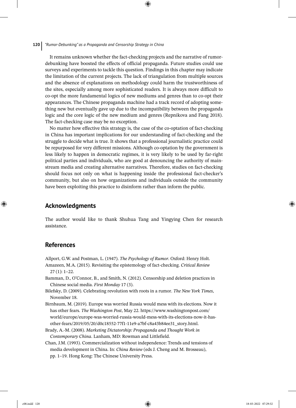It remains unknown whether the fact-checking projects and the narrative of rumordebunking have boosted the effects of official propaganda. Future studies could use surveys and experiments to tackle this question. Findings in this chapter may indicate the limitation of the current projects. The lack of triangulation from multiple sources and the absence of explanations on methodology could harm the trustworthiness of the sites, especially among more sophisticated readers. It is always more difficult to co-opt the more fundamental logics of new mediums and genres than to co-opt their appearances. The Chinese propaganda machine had a track record of adopting something new but eventually gave up due to the incompatibility between the propaganda logic and the core logic of the new medium and genres (Repnikova and Fang 2018). The fact-checking case may be no exception.

No matter how effective this strategy is, the case of the co-optation of fact-checking in China has important implications for our understanding of fact-checking and the struggle to decide what is true. It shows that a professional journalistic practice could be repurposed for very different missions. Although co-optation by the government is less likely to happen in democratic regimes, it is very likely to be used by far-right political parties and individuals, who are good at denouncing the authority of mainstream media and creating alternative narratives. Therefore, studies on fact-checking should focus not only on what is happening inside the professional fact-checker's community, but also on how organizations and individuals outside the community have been exploiting this practice to disinform rather than inform the public.

# **Acknowledgments**

The author would like to thank Shuhua Tang and Yingying Chen for research assistance.

# **References**

- Allport, G.W. and Postman, L. (1947). *The Psychology of Rumor*. Oxford: Henry Holt.
- Amazeen, M.A. (2015). Revisiting the epistemology of fact-checking. *Critical Review* 27 (1): 1–22.
- Bamman, D., O'Connor, B., and Smith, N. (2012). Censorship and deletion practices in Chinese social media. *First Monday* 17 (3).
- Bilefsky, D. (2009). Celebrating revolution with roots in a rumor. *The New York Times*, November 18.
- Birnbaum, M. (2019). Europe was worried Russia would mess with its elections. Now it has other fears. *The Washington Post*, May 22. https://www.washingtonpost.com/ world/europe/europe-was-worried-russia-would-mess-with-its-elections-now-it-hasother-fears/2019/05/20/d0c18552-77f1-11e9-a7bf-c8a43b84ee31\_story.html.
- Brady, A.-M. (2008). *Marketing Dictatorship: Propaganda and Thought Work in Contemporary China*. Lanham, MD: Rowman and Littlefield.
- Chan, J.M. (1993). Commercialization without independence: Trends and tensions of media development in China. In: *China Review* (eds J. Cheng and M. Brosseau), pp. 1–19. Hong Kong: The Chinese University Press.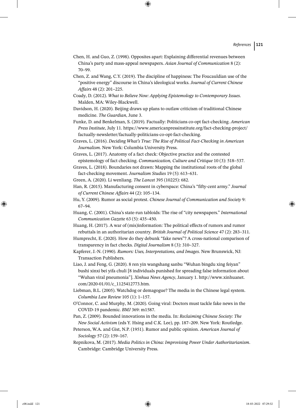- Chen, H. and Guo, Z. (1998). Opposites apart: Explaining differential revenues between China's party and mass‐appeal newspapers. *Asian Journal of Communication* 8 (2): 70–99.
- Chen, Z. and Wang, C.Y. (2019). The discipline of happiness: The Foucauldian use of the "positive energy" discourse in China's ideological works. *Journal of Current Chinese Affairs* 48 (2): 201–225.
- Coady, D. (2012). *What to Believe Now: Applying Epistemology to Contemporary Issues*. Malden, MA: Wiley-Blackwell.
- Davidson, H. (2020). Beijing draws up plans to outlaw criticism of traditional Chinese medicine. *The Guardian*, June 3.
- Funke, D. and Benkelman, S. (2019). Factually: Politicians co-opt fact-checking. *American Press Institute*, July 11. https://www.americanpressinstitute.org/fact-checking-project/ factually-newsletter/factually-politicians-co-opt-fact-checking.
- Graves, L. (2016). *Deciding What's True: The Rise of Political Fact-Checking in American Journalism*. New York: Columbia University Press.
- Graves, L. (2017). Anatomy of a fact check: Objective practice and the contested epistemology of fact checking. *Communication, Culture and Critique* 10 (3): 518–537.
- Graves, L. (2018). Boundaries not drawn: Mapping the institutional roots of the global fact-checking movement. *Journalism Studies* 19 (5): 613–631.
- Green, A. (2020). Li wenliang. *The Lancet* 395 (10225): 682.
- Han, R. (2015). Manufacturing consent in cyberspace: China's "fifty-cent army." *Journal of Current Chinese Affairs* 44 (2): 105–134.
- Hu, Y. (2009). Rumor as social protest. *Chinese Journal of Communication and Society* 9: 67–94.
- Huang, C. (2001). China's state-run tabloids: The rise of "city newspapers." *International Communication Gazette* 63 (5): 435–450.
- Huang, H. (2017). A war of (mis)information: The political effects of rumors and rumor rebuttals in an authoritarian country. *British Journal of Political Science* 47 (2): 283–311.
- Humprecht, E. (2020). How do they debunk "fake news"? A cross-national comparison of transparency in fact checks. *Digital Journalism* 8 (3): 310–327.
- Kapferer, J.-N. (1990). *Rumors: Uses, Interpretations, and Images*. New Brunswick, NJ: Transaction Publishers.
- Liao, J. and Feng, G. (2020). 8 ren yin wangshang sanbu "Wuhan bingdu xing feiyan" bushi xinxi bei yifa chuli [8 individuals punished for spreading false information about "Wuhan viral pneumonia"]. *Xinhua News Agency*, January 1. http://www.xinhuanet. com/2020-01/01/c\_1125412773.htm.
- Liebman, B.L. (2005). Watchdog or demagogue? The media in the Chinese legal system. *Columbia Law Review* 105 (1): 1–157.
- O'Connor, C. and Murphy, M. (2020). Going viral: Doctors must tackle fake news in the COVID-19 pandemic. *BMJ* 369: m1587.
- Pan, Z. (2009). Bounded innovations in the media. In: *Reclaiming Chinese Society: The New Social Activism* (eds Y. Hsing and C.K. Lee), pp. 187–209. New York: Routledge.
- Peterson, W.A. and Gist, N.P. (1951). Rumor and public opinion. *American Journal of Sociology* 57 (2): 159–167.
- Repnikova, M. (2017). *Media Politics in China: Improvising Power Under Authoritarianism*. Cambridge: Cambridge University Press.